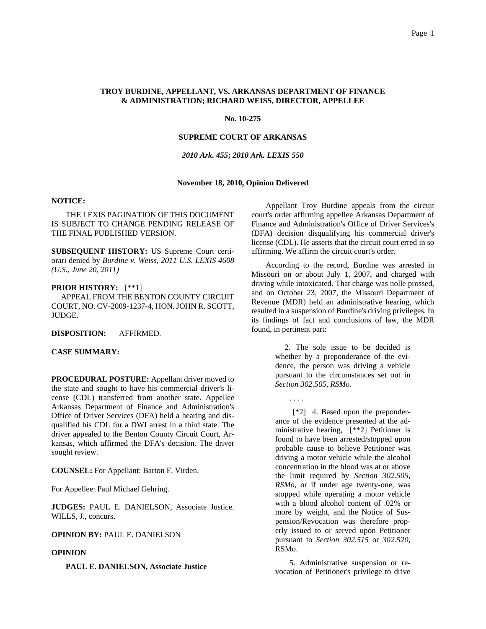# **TROY BURDINE, APPELLANT, VS. ARKANSAS DEPARTMENT OF FINANCE & ADMINISTRATION; RICHARD WEISS, DIRECTOR, APPELLEE**

## **No. 10-275**

# **SUPREME COURT OF ARKANSAS**

# *2010 Ark. 455***;** *2010 Ark. LEXIS 550*

# **November 18, 2010, Opinion Delivered**

# **NOTICE:**

THE LEXIS PAGINATION OF THIS DOCUMENT IS SUBJECT TO CHANGE PENDING RELEASE OF THE FINAL PUBLISHED VERSION.

**SUBSEQUENT HISTORY:** US Supreme Court certiorari denied by *Burdine v. Weiss, 2011 U.S. LEXIS 4608 (U.S., June 20, 2011)*

#### **PRIOR HISTORY:** [\*\*1]

 APPEAL FROM THE BENTON COUNTY CIRCUIT COURT, NO. CV-2009-1237-4, HON. JOHN R. SCOTT, JUDGE.

**DISPOSITION:** AFFIRMED.

#### **CASE SUMMARY:**

**PROCEDURAL POSTURE:** Appellant driver moved to the state and sought to have his commercial driver's license (CDL) transferred from another state. Appellee Arkansas Department of Finance and Administration's Office of Driver Services (DFA) held a hearing and disqualified his CDL for a DWI arrest in a third state. The driver appealed to the Benton County Circuit Court, Arkansas, which affirmed the DFA's decision. The driver sought review.

**COUNSEL:** For Appellant: Barton F. Virden.

For Appellee: Paul Michael Gehring.

**JUDGES:** PAUL E. DANIELSON, Associate Justice. WILLS, J., concurs.

**OPINION BY:** PAUL E. DANIELSON

#### **OPINION**

**PAUL E. DANIELSON, Associate Justice**

Appellant Troy Burdine appeals from the circuit court's order affirming appellee Arkansas Department of Finance and Administration's Office of Driver Services's (DFA) decision disqualifying his commercial driver's license (CDL). He asserts that the circuit court erred in so affirming. We affirm the circuit court's order.

According to the record, Burdine was arrested in Missouri on or about July 1, 2007, and charged with driving while intoxicated. That charge was nolle prossed, and on October 23, 2007, the Missouri Department of Revenue (MDR) held an administrative hearing, which resulted in a suspension of Burdine's driving privileges. In its findings of fact and conclusions of law, the MDR found, in pertinent part:

> 2. The sole issue to be decided is whether by a preponderance of the evidence, the person was driving a vehicle pursuant to the circumstances set out in *Section 302.505, RSMo.*

> > . . . .

 [\*2] 4. Based upon the preponderance of the evidence presented at the administrative hearing, [\*\*2] Petitioner is found to have been arrested/stopped upon probable cause to believe Petitioner was driving a motor vehicle while the alcohol concentration in the blood was at or above the limit required by *Section 302.505, RSMo*, or if under age twenty-one, was stopped while operating a motor vehicle with a blood alcohol content of .02% or more by weight, and the Notice of Suspension/Revocation was therefore properly issued to or served upon Petitioner pursuant to *Section 302.515* or *302.520*, RSMo.

5. Administrative suspension or revocation of Petitioner's privilege to drive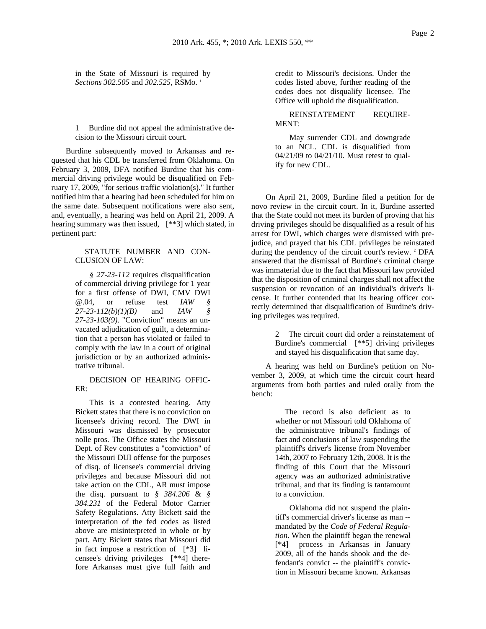in the State of Missouri is required by *Sections 302.505* and *302.525*, RSMo. 1

1 Burdine did not appeal the administrative decision to the Missouri circuit court.

Burdine subsequently moved to Arkansas and requested that his CDL be transferred from Oklahoma. On February 3, 2009, DFA notified Burdine that his commercial driving privilege would be disqualified on February 17, 2009, "for serious traffic violation(s)." It further notified him that a hearing had been scheduled for him on the same date. Subsequent notifications were also sent, and, eventually, a hearing was held on April 21, 2009. A hearing summary was then issued, [\*\*3] which stated, in pertinent part:

#### STATUTE NUMBER AND CON-CLUSION OF LAW:

*§ 27-23-112* requires disqualification of commercial driving privilege for 1 year for a first offense of DWI, CMV DWI @.04, or refuse test *IAW § 27-23-112(b)(1)(B)* and *IAW § 27-23-103(9)*. "Conviction" means an unvacated adjudication of guilt, a determination that a person has violated or failed to comply with the law in a court of original jurisdiction or by an authorized administrative tribunal.

# DECISION OF HEARING OFFIC-ER:

This is a contested hearing. Atty Bickett states that there is no conviction on licensee's driving record. The DWI in Missouri was dismissed by prosecutor nolle pros. The Office states the Missouri Dept. of Rev constitutes a "conviction" of the Missouri DUI offense for the purposes of disq. of licensee's commercial driving privileges and because Missouri did not take action on the CDL, AR must impose the disq. pursuant to *§ 384.206* & *§ 384.231* of the Federal Motor Carrier Safety Regulations. Atty Bickett said the interpretation of the fed codes as listed above are misinterpreted in whole or by part. Atty Bickett states that Missouri did in fact impose a restriction of [\*3] licensee's driving privileges [\*\*4] therefore Arkansas must give full faith and credit to Missouri's decisions. Under the codes listed above, further reading of the codes does not disqualify licensee. The Office will uphold the disqualification.

REINSTATEMENT REQUIRE-MENT:

May surrender CDL and downgrade to an NCL. CDL is disqualified from 04/21/09 to 04/21/10. Must retest to qualify for new CDL.

On April 21, 2009, Burdine filed a petition for de novo review in the circuit court. In it, Burdine asserted that the State could not meet its burden of proving that his driving privileges should be disqualified as a result of his arrest for DWI, which charges were dismissed with prejudice, and prayed that his CDL privileges be reinstated during the pendency of the circuit court's review. <sup>2</sup> DFA answered that the dismissal of Burdine's criminal charge was immaterial due to the fact that Missouri law provided that the disposition of criminal charges shall not affect the suspension or revocation of an individual's driver's license. It further contended that its hearing officer correctly determined that disqualification of Burdine's driving privileges was required.

> 2 The circuit court did order a reinstatement of Burdine's commercial [\*\*5] driving privileges and stayed his disqualification that same day.

A hearing was held on Burdine's petition on November 3, 2009, at which time the circuit court heard arguments from both parties and ruled orally from the bench:

> The record is also deficient as to whether or not Missouri told Oklahoma of the administrative tribunal's findings of fact and conclusions of law suspending the plaintiff's driver's license from November 14th, 2007 to February 12th, 2008. It is the finding of this Court that the Missouri agency was an authorized administrative tribunal, and that its finding is tantamount to a conviction.

> Oklahoma did not suspend the plaintiff's commercial driver's license as man - mandated by the *Code of Federal Regulation*. When the plaintiff began the renewal [\*4] process in Arkansas in January 2009, all of the hands shook and the defendant's convict -- the plaintiff's conviction in Missouri became known. Arkansas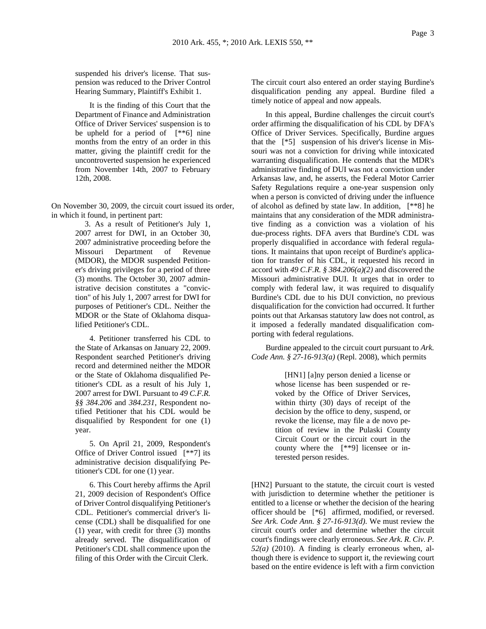suspended his driver's license. That suspension was reduced to the Driver Control Hearing Summary, Plaintiff's Exhibit 1.

It is the finding of this Court that the Department of Finance and Administration Office of Driver Services' suspension is to be upheld for a period of [\*\*6] nine months from the entry of an order in this matter, giving the plaintiff credit for the uncontroverted suspension he experienced from November 14th, 2007 to February 12th, 2008.

On November 30, 2009, the circuit court issued its order, in which it found, in pertinent part:

> 3. As a result of Petitioner's July 1, 2007 arrest for DWI, in an October 30, 2007 administrative proceeding before the Missouri Department of Revenue (MDOR), the MDOR suspended Petitioner's driving privileges for a period of three (3) months. The October 30, 2007 administrative decision constitutes a "conviction" of his July 1, 2007 arrest for DWI for purposes of Petitioner's CDL. Neither the MDOR or the State of Oklahoma disqualified Petitioner's CDL.

> 4. Petitioner transferred his CDL to the State of Arkansas on January 22, 2009. Respondent searched Petitioner's driving record and determined neither the MDOR or the State of Oklahoma disqualified Petitioner's CDL as a result of his July 1, 2007 arrest for DWI. Pursuant to *49 C.F.R. §§ 384.206* and *384.231*, Respondent notified Petitioner that his CDL would be disqualified by Respondent for one (1) year.

> 5. On April 21, 2009, Respondent's Office of Driver Control issued [\*\*7] its administrative decision disqualifying Petitioner's CDL for one (1) year.

> 6. This Court hereby affirms the April 21, 2009 decision of Respondent's Office of Driver Control disqualifying Petitioner's CDL. Petitioner's commercial driver's license (CDL) shall be disqualified for one (1) year, with credit for three (3) months already served. The disqualification of Petitioner's CDL shall commence upon the filing of this Order with the Circuit Clerk.

The circuit court also entered an order staying Burdine's disqualification pending any appeal. Burdine filed a timely notice of appeal and now appeals.

In this appeal, Burdine challenges the circuit court's order affirming the disqualification of his CDL by DFA's Office of Driver Services. Specifically, Burdine argues that the [\*5] suspension of his driver's license in Missouri was not a conviction for driving while intoxicated warranting disqualification. He contends that the MDR's administrative finding of DUI was not a conviction under Arkansas law, and, he asserts, the Federal Motor Carrier Safety Regulations require a one-year suspension only when a person is convicted of driving under the influence of alcohol as defined by state law. In addition, [\*\*8] he maintains that any consideration of the MDR administrative finding as a conviction was a violation of his due-process rights. DFA avers that Burdine's CDL was properly disqualified in accordance with federal regulations. It maintains that upon receipt of Burdine's application for transfer of his CDL, it requested his record in accord with *49 C.F.R. § 384.206(a)(2)* and discovered the Missouri administrative DUI. It urges that in order to comply with federal law, it was required to disqualify Burdine's CDL due to his DUI conviction, no previous disqualification for the conviction had occurred. It further points out that Arkansas statutory law does not control, as it imposed a federally mandated disqualification comporting with federal regulations.

Burdine appealed to the circuit court pursuant to *Ark. Code Ann. § 27-16-913(a)* (Repl. 2008), which permits

> [HN1] [a]ny person denied a license or whose license has been suspended or revoked by the Office of Driver Services, within thirty (30) days of receipt of the decision by the office to deny, suspend, or revoke the license, may file a de novo petition of review in the Pulaski County Circuit Court or the circuit court in the county where the [\*\*9] licensee or interested person resides.

[HN2] Pursuant to the statute, the circuit court is vested with jurisdiction to determine whether the petitioner is entitled to a license or whether the decision of the hearing officer should be [\*6] affirmed, modified, or reversed. *See Ark. Code Ann. § 27-16-913(d)*. We must review the circuit court's order and determine whether the circuit court's findings were clearly erroneous. *See Ark. R. Civ. P. 52(a)* (2010). A finding is clearly erroneous when, although there is evidence to support it, the reviewing court based on the entire evidence is left with a firm conviction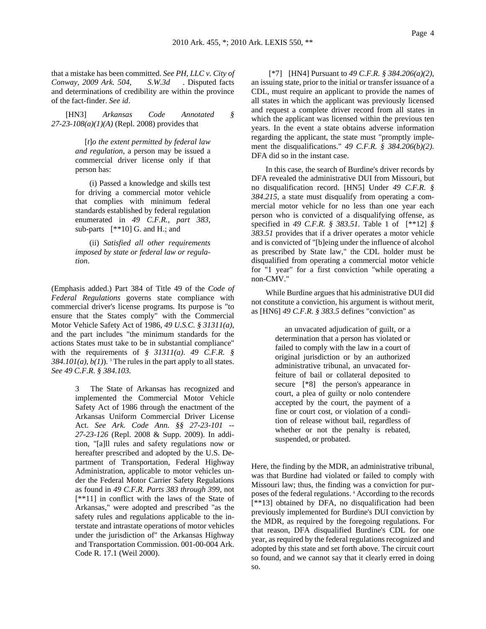that a mistake has been committed. *See PH, LLC v. City of Conway, 2009 Ark. 504, S.W.3d* . Disputed facts and determinations of credibility are within the province of the fact-finder. *See id*.

[HN3] *Arkansas Code Annotated § 27-23-108(a)(1)(A)* (Repl. 2008) provides that

> [*t*]*o the extent permitted by federal law and regulation*, a person may be issued a commercial driver license only if that person has:

> (i) Passed a knowledge and skills test for driving a commercial motor vehicle that complies with minimum federal standards established by federal regulation enumerated in *49 C.F.R., part 383*, sub-parts [\*\*10] G. and H.; and

> (ii) *Satisfied all other requirements imposed by state or federal law or regulation*.

(Emphasis added.) Part 384 of Title 49 of the *Code of Federal Regulations* governs state compliance with commercial driver's license programs. Its purpose is "to ensure that the States comply" with the Commercial Motor Vehicle Safety Act of 1986, *49 U.S.C. § 31311(a)*, and the part includes "the minimum standards for the actions States must take to be in substantial compliance" with the requirements of *§ 31311(a)*. *49 C.F.R. §*   $384.101(a)$ ,  $b(1)$ ). <sup>3</sup> The rules in the part apply to all states. *See 49 C.F.R. § 384.103*.

> 3 The State of Arkansas has recognized and implemented the Commercial Motor Vehicle Safety Act of 1986 through the enactment of the Arkansas Uniform Commercial Driver License Act. *See Ark. Code Ann. §§ 27-23-101 -- 27-23-126* (Repl. 2008 & Supp. 2009). In addition, "[a]ll rules and safety regulations now or hereafter prescribed and adopted by the U.S. Department of Transportation, Federal Highway Administration, applicable to motor vehicles under the Federal Motor Carrier Safety Regulations as found in *49 C.F.R. Parts 383 through 399*, not [\*\*11] in conflict with the laws of the State of Arkansas," were adopted and prescribed "as the safety rules and regulations applicable to the interstate and intrastate operations of motor vehicles under the jurisdiction of" the Arkansas Highway and Transportation Commission. 001-00-004 Ark. Code R. 17.1 (Weil 2000).

 [\*7] [HN4] Pursuant to *49 C.F.R. § 384.206(a)(2)*, an issuing state, prior to the initial or transfer issuance of a CDL, must require an applicant to provide the names of all states in which the applicant was previously licensed and request a complete driver record from all states in which the applicant was licensed within the previous ten years. In the event a state obtains adverse information regarding the applicant, the state must "promptly implement the disqualifications." *49 C.F.R. § 384.206(b)(2)*. DFA did so in the instant case.

In this case, the search of Burdine's driver records by DFA revealed the administrative DUI from Missouri, but no disqualification record. [HN5] Under *49 C.F.R. § 384.215*, a state must disqualify from operating a commercial motor vehicle for no less than one year each person who is convicted of a disqualifying offense, as specified in *49 C.F.R. § 383.51*. Table 1 of [\*\*12] *§ 383.51* provides that if a driver operates a motor vehicle and is convicted of "[b]eing under the influence of alcohol as prescribed by State law," the CDL holder must be disqualified from operating a commercial motor vehicle for "1 year" for a first conviction "while operating a non-CMV."

While Burdine argues that his administrative DUI did not constitute a conviction, his argument is without merit, as [HN6] *49 C.F.R. § 383.5* defines "conviction" as

> an unvacated adjudication of guilt, or a determination that a person has violated or failed to comply with the law in a court of original jurisdiction or by an authorized administrative tribunal, an unvacated forfeiture of bail or collateral deposited to secure [\*8] the person's appearance in court, a plea of guilty or nolo contendere accepted by the court, the payment of a fine or court cost, or violation of a condition of release without bail, regardless of whether or not the penalty is rebated, suspended, or probated.

Here, the finding by the MDR, an administrative tribunal, was that Burdine had violated or failed to comply with Missouri law; thus, the finding was a conviction for purposes of the federal regulations. 4 According to the records [\*\*13] obtained by DFA, no disqualification had been previously implemented for Burdine's DUI conviction by the MDR, as required by the foregoing regulations. For that reason, DFA disqualified Burdine's CDL for one year, as required by the federal regulations recognized and adopted by this state and set forth above. The circuit court so found, and we cannot say that it clearly erred in doing so.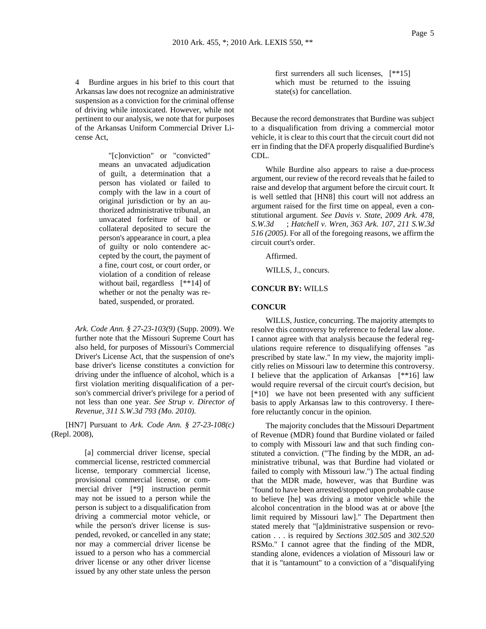4 Burdine argues in his brief to this court that Arkansas law does not recognize an administrative suspension as a conviction for the criminal offense of driving while intoxicated. However, while not pertinent to our analysis, we note that for purposes of the Arkansas Uniform Commercial Driver License Act,

> "[c]onviction" or "convicted" means an unvacated adjudication of guilt, a determination that a person has violated or failed to comply with the law in a court of original jurisdiction or by an authorized administrative tribunal, an unvacated forfeiture of bail or collateral deposited to secure the person's appearance in court, a plea of guilty or nolo contendere accepted by the court, the payment of a fine, court cost, or court order, or violation of a condition of release without bail, regardless [\*\*14] of whether or not the penalty was rebated, suspended, or prorated.

*Ark. Code Ann. § 27-23-103(9)* (Supp. 2009). We further note that the Missouri Supreme Court has also held, for purposes of Missouri's Commercial Driver's License Act, that the suspension of one's base driver's license constitutes a conviction for driving under the influence of alcohol, which is a first violation meriting disqualification of a person's commercial driver's privilege for a period of not less than one year. *See Strup v. Director of Revenue, 311 S.W.3d 793 (Mo. 2010)*.

[HN7] Pursuant to *Ark. Code Ann. § 27-23-108(c)* (Repl. 2008),

> [a] commercial driver license, special commercial license, restricted commercial license, temporary commercial license, provisional commercial license, or commercial driver [\*9] instruction permit may not be issued to a person while the person is subject to a disqualification from driving a commercial motor vehicle, or while the person's driver license is suspended, revoked, or cancelled in any state; nor may a commercial driver license be issued to a person who has a commercial driver license or any other driver license issued by any other state unless the person

first surrenders all such licenses, [\*\*15] which must be returned to the issuing state(s) for cancellation.

Because the record demonstrates that Burdine was subject to a disqualification from driving a commercial motor vehicle, it is clear to this court that the circuit court did not err in finding that the DFA properly disqualified Burdine's CDL.

While Burdine also appears to raise a due-process argument, our review of the record reveals that he failed to raise and develop that argument before the circuit court. It is well settled that [HN8] this court will not address an argument raised for the first time on appeal, even a constitutional argument. *See Davis v. State, 2009 Ark. 478, S.W.3d* ; *Hatchell v. Wren, 363 Ark. 107, 211 S.W.3d 516 (2005)*. For all of the foregoing reasons, we affirm the circuit court's order.

Affirmed.

WILLS, J., concurs.

### **CONCUR BY:** WILLS

## **CONCUR**

WILLS, Justice, concurring. The majority attempts to resolve this controversy by reference to federal law alone. I cannot agree with that analysis because the federal regulations require reference to disqualifying offenses "as prescribed by state law." In my view, the majority implicitly relies on Missouri law to determine this controversy. I believe that the application of Arkansas [\*\*16] law would require reversal of the circuit court's decision, but [\*10] we have not been presented with any sufficient basis to apply Arkansas law to this controversy. I therefore reluctantly concur in the opinion.

The majority concludes that the Missouri Department of Revenue (MDR) found that Burdine violated or failed to comply with Missouri law and that such finding constituted a conviction. ("The finding by the MDR, an administrative tribunal, was that Burdine had violated or failed to comply with Missouri law.") The actual finding that the MDR made, however, was that Burdine was "found to have been arrested/stopped upon probable cause to believe [he] was driving a motor vehicle while the alcohol concentration in the blood was at or above [the limit required by Missouri law]." The Department then stated merely that "[a]dministrative suspension or revocation . . . is required by *Sections 302.505* and *302.520* RSMo." I cannot agree that the finding of the MDR, standing alone, evidences a violation of Missouri law or that it is "tantamount" to a conviction of a "disqualifying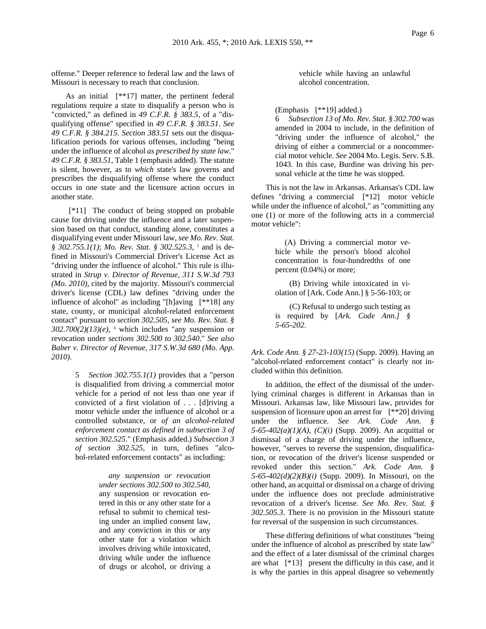offense." Deeper reference to federal law and the laws of Missouri is necessary to reach that conclusion.

As an initial [\*\*17] matter, the pertinent federal regulations require a state to disqualify a person who is "convicted," as defined in *49 C.F.R. § 383.5*, of a "disqualifying offense" specified in *49 C.F.R. § 383.51*. *See 49 C.F.R. § 384.215*. *Section 383.51* sets out the disqualification periods for various offenses, including "being under the influence of alcohol *as prescribed by state law*." *49 C.F.R. § 383.51*, Table 1 (emphasis added). The statute is silent, however, as to *which* state's law governs and prescribes the disqualifying offense where the conduct occurs in one state and the licensure action occurs in another state.

 [\*11] The conduct of being stopped on probable cause for driving under the influence and a later suspension based on that conduct, standing alone, constitutes a disqualifying event under Missouri law, *see Mo. Rev. Stat.*  § 302.755.1(1); *Mo. Rev. Stat.* § 302.525.3, <sup>5</sup> and is defined in Missouri's Commercial Driver's License Act as "driving under the influence of alcohol." This rule is illustrated in *Strup v. Director of Revenue, 311 S.W.3d 793 (Mo. 2010)*, cited by the majority. Missouri's commercial driver's license (CDL) law defines "driving under the influence of alcohol" as including "[h]aving [\*\*18] any state, county, or municipal alcohol-related enforcement contact" pursuant to *section 302.505*, *see Mo. Rev. Stat. §*   $302.700(2)(13)(e)$ , <sup>6</sup> which includes "any suspension or revocation under *sections 302.500 to 302.540*." *See also Baber v. Director of Revenue, 317 S.W.3d 680 (Mo. App. 2010)*.

> 5 *Section 302.755.1(1)* provides that a "person is disqualified from driving a commercial motor vehicle for a period of not less than one year if convicted of a first violation of . . . [d]riving a motor vehicle under the influence of alcohol or a controlled substance, or *of an alcohol-related enforcement contact as defined in subsection 3 of section 302.525*." (Emphasis added.) *Subsection 3 of section 302.525*, in turn, defines "alcohol-related enforcement contacts" as including:

> > *any suspension or revocation under sections 302.500 to 302.540*, any suspension or revocation entered in this or any other state for a refusal to submit to chemical testing under an implied consent law, and any conviction in this or any other state for a violation which involves driving while intoxicated, driving while under the influence of drugs or alcohol, or driving a

vehicle while having an unlawful alcohol concentration.

(Emphasis [\*\*19] added.)

6 *Subsection 13 of Mo. Rev. Stat. § 302.700* was amended in 2004 to include, in the definition of "driving under the influence of alcohol," the driving of either a commercial or a noncommercial motor vehicle. *See* 2004 Mo. Legis. Serv. S.B. 1043. In this case, Burdine was driving his personal vehicle at the time he was stopped.

This is not the law in Arkansas. Arkansas's CDL law defines "driving a commercial [\*12] motor vehicle while under the influence of alcohol," as "committing any one (1) or more of the following acts in a commercial motor vehicle":

> (A) Driving a commercial motor vehicle while the person's blood alcohol concentration is four-hundredths of one percent (0.04%) or more;

> (B) Driving while intoxicated in violation of [Ark. Code Ann.] § 5-56-103; or

> (C) Refusal to undergo such testing as is required by [*Ark. Code Ann.] § 5-65-202*.

*Ark. Code Ann. § 27-23-103(15)* (Supp. 2009). Having an "alcohol-related enforcement contact" is clearly not included within this definition.

In addition, the effect of the dismissal of the underlying criminal charges is different in Arkansas than in Missouri. Arkansas law, like Missouri law, provides for suspension of licensure upon an arrest for [\*\*20] driving under the influence. *See Ark. Code Ann. § 5-65-402(a)(1)(A)*, *(C)(i)* (Supp. 2009). An acquittal or dismissal of a charge of driving under the influence, however, "serves to reverse the suspension, disqualification, or revocation of the driver's license suspended or revoked under this section." *Ark. Code Ann. § 5-65-402(d)(2)(B)(i)* (Supp. 2009). In Missouri, on the other hand, an acquittal or dismissal on a charge of driving under the influence does not preclude administrative revocation of a driver's license. *See Mo. Rev. Stat. § 302.505.3*. There is no provision in the Missouri statute for reversal of the suspension in such circumstances.

These differing definitions of what constitutes "being under the influence of alcohol as prescribed by state law" and the effect of a later dismissal of the criminal charges are what [\*13] present the difficulty in this case, and it is why the parties in this appeal disagree so vehemently